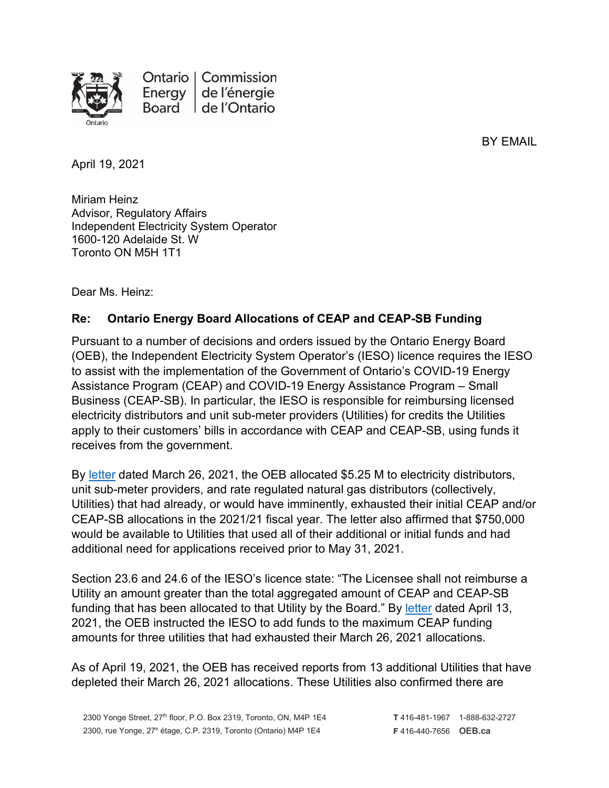

Ontario | Commission de l'énergie Energy | Board de l'Ontario

BY EMAIL

April 19, 2021

Miriam Heinz Advisor, Regulatory Affairs Independent Electricity System Operator 1600-120 Adelaide St. W Toronto ON M5H 1T1

Dear Ms. Heinz:

## **Re: Ontario Energy Board Allocations of CEAP and CEAP-SB Funding**

Pursuant to a number of decisions and orders issued by the Ontario Energy Board (OEB), the Independent Electricity System Operator's (IESO) licence requires the IESO to assist with the implementation of the Government of Ontario's COVID-19 Energy Assistance Program (CEAP) and COVID-19 Energy Assistance Program – Small Business (CEAP-SB). In particular, the IESO is responsible for reimbursing licensed electricity distributors and unit sub-meter providers (Utilities) for credits the Utilities apply to their customers' bills in accordance with CEAP and CEAP-SB, using funds it receives from the government.

By [letter](https://www.oeb.ca/sites/default/files/OEBltr-CEAP-Addl-Funding-20210326.pdf) dated March 26, 2021, the OEB allocated \$5.25 M to electricity distributors, unit sub-meter providers, and rate regulated natural gas distributors (collectively, Utilities) that had already, or would have imminently, exhausted their initial CEAP and/or CEAP-SB allocations in the 2021/21 fiscal year. The letter also affirmed that \$750,000 would be available to Utilities that used all of their additional or initial funds and had additional need for applications received prior to May 31, 2021.

Section 23.6 and 24.6 of the IESO's licence state: "The Licensee shall not reimburse a Utility an amount greater than the total aggregated amount of CEAP and CEAP-SB funding that has been allocated to that Utility by the Board." By [letter](https://www.oeb.ca/sites/default/files/oeb-ltr-ieso-ceap-funding-20210413.pdf) dated April 13, 2021, the OEB instructed the IESO to add funds to the maximum CEAP funding amounts for three utilities that had exhausted their March 26, 2021 allocations.

As of April 19, 2021, the OEB has received reports from 13 additional Utilities that have depleted their March 26, 2021 allocations. These Utilities also confirmed there are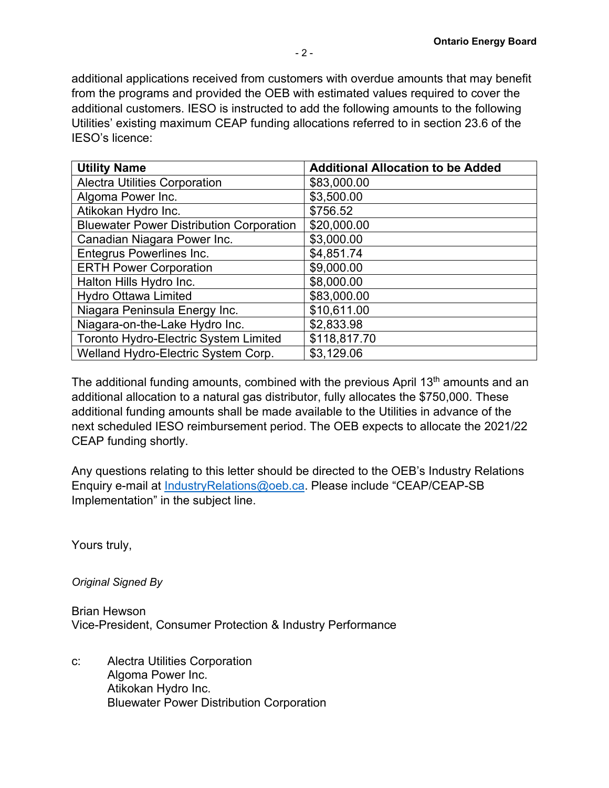additional applications received from customers with overdue amounts that may benefit from the programs and provided the OEB with estimated values required to cover the additional customers. IESO is instructed to add the following amounts to the following Utilities' existing maximum CEAP funding allocations referred to in section 23.6 of the IESO's licence:

| <b>Utility Name</b>                             | <b>Additional Allocation to be Added</b> |
|-------------------------------------------------|------------------------------------------|
| <b>Alectra Utilities Corporation</b>            | \$83,000.00                              |
| Algoma Power Inc.                               | \$3,500.00                               |
| Atikokan Hydro Inc.                             | \$756.52                                 |
| <b>Bluewater Power Distribution Corporation</b> | \$20,000.00                              |
| Canadian Niagara Power Inc.                     | \$3,000.00                               |
| Entegrus Powerlines Inc.                        | \$4,851.74                               |
| <b>ERTH Power Corporation</b>                   | \$9,000.00                               |
| Halton Hills Hydro Inc.                         | \$8,000.00                               |
| <b>Hydro Ottawa Limited</b>                     | \$83,000.00                              |
| Niagara Peninsula Energy Inc.                   | \$10,611.00                              |
| Niagara-on-the-Lake Hydro Inc.                  | \$2,833.98                               |
| Toronto Hydro-Electric System Limited           | \$118,817.70                             |
| Welland Hydro-Electric System Corp.             | \$3,129.06                               |

The additional funding amounts, combined with the previous April  $13<sup>th</sup>$  amounts and an additional allocation to a natural gas distributor, fully allocates the \$750,000. These additional funding amounts shall be made available to the Utilities in advance of the next scheduled IESO reimbursement period. The OEB expects to allocate the 2021/22 CEAP funding shortly.

Any questions relating to this letter should be directed to the OEB's Industry Relations Enquiry e-mail at [IndustryRelations@oeb.ca.](mailto:IndustryRelations@oeb.ca) Please include "CEAP/CEAP-SB Implementation" in the subject line.

Yours truly,

*Original Signed By*

Brian Hewson Vice-President, Consumer Protection & Industry Performance

c:Alectra Utilities Corporation Algoma Power Inc. Atikokan Hydro Inc. Bluewater Power Distribution Corporation